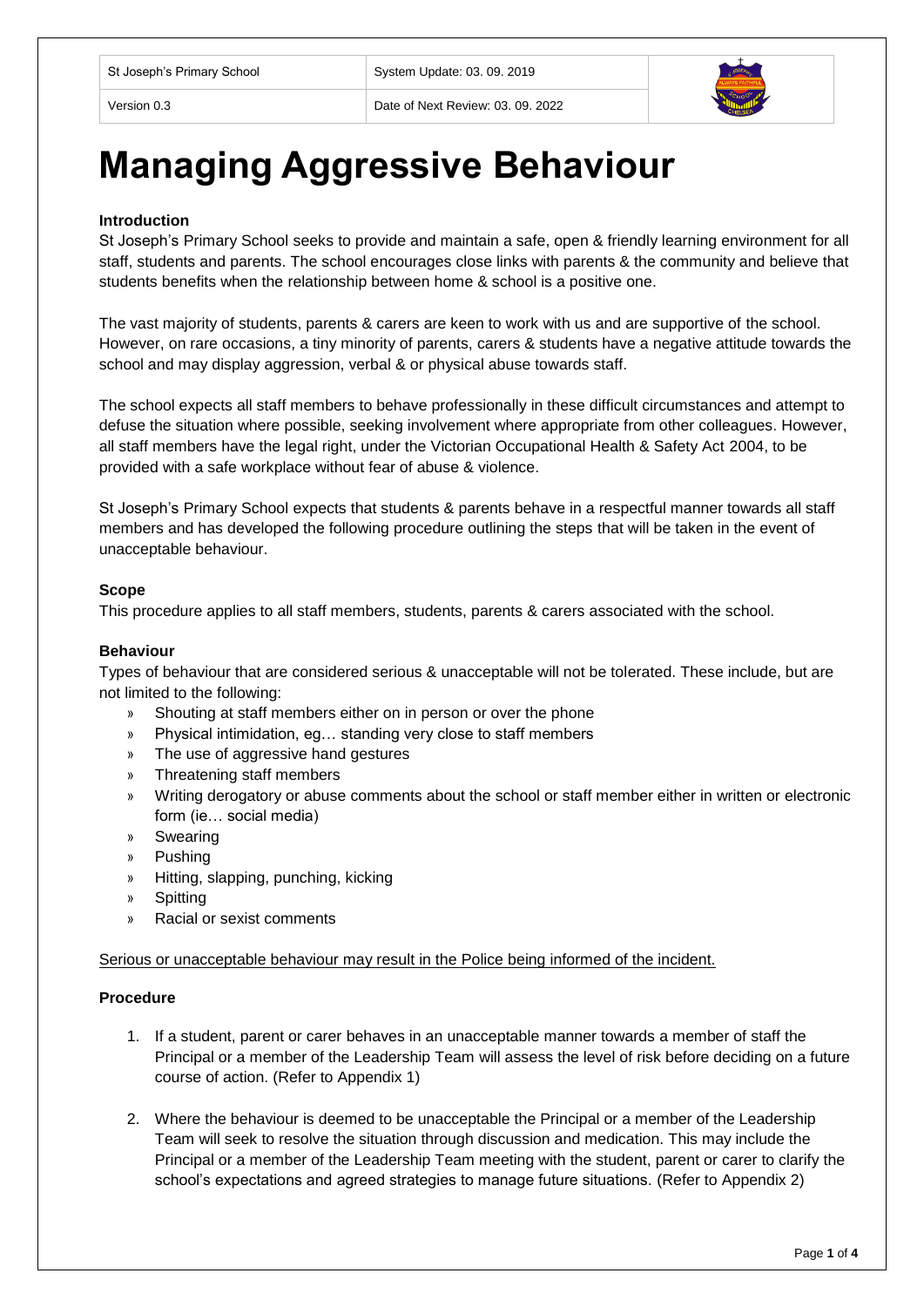Version 0.3 Date of Next Review: 03. 09. 2022



# **Managing Aggressive Behaviour**

## **Introduction**

St Joseph's Primary School seeks to provide and maintain a safe, open & friendly learning environment for all staff, students and parents. The school encourages close links with parents & the community and believe that students benefits when the relationship between home & school is a positive one.

The vast majority of students, parents & carers are keen to work with us and are supportive of the school. However, on rare occasions, a tiny minority of parents, carers & students have a negative attitude towards the school and may display aggression, verbal & or physical abuse towards staff.

The school expects all staff members to behave professionally in these difficult circumstances and attempt to defuse the situation where possible, seeking involvement where appropriate from other colleagues. However, all staff members have the legal right, under the Victorian Occupational Health & Safety Act 2004, to be provided with a safe workplace without fear of abuse & violence.

St Joseph's Primary School expects that students & parents behave in a respectful manner towards all staff members and has developed the following procedure outlining the steps that will be taken in the event of unacceptable behaviour.

### **Scope**

This procedure applies to all staff members, students, parents & carers associated with the school.

## **Behaviour**

Types of behaviour that are considered serious & unacceptable will not be tolerated. These include, but are not limited to the following:

- Shouting at staff members either on in person or over the phone
- » Physical intimidation, eg… standing very close to staff members
- » The use of aggressive hand gestures
- » Threatening staff members
- » Writing derogatory or abuse comments about the school or staff member either in written or electronic form (ie… social media)
- » Swearing
- » Pushing
- » Hitting, slapping, punching, kicking
- » Spitting
- » Racial or sexist comments

Serious or unacceptable behaviour may result in the Police being informed of the incident.

### **Procedure**

- 1. If a student, parent or carer behaves in an unacceptable manner towards a member of staff the Principal or a member of the Leadership Team will assess the level of risk before deciding on a future course of action. (Refer to Appendix 1)
- 2. Where the behaviour is deemed to be unacceptable the Principal or a member of the Leadership Team will seek to resolve the situation through discussion and medication. This may include the Principal or a member of the Leadership Team meeting with the student, parent or carer to clarify the school's expectations and agreed strategies to manage future situations. (Refer to Appendix 2)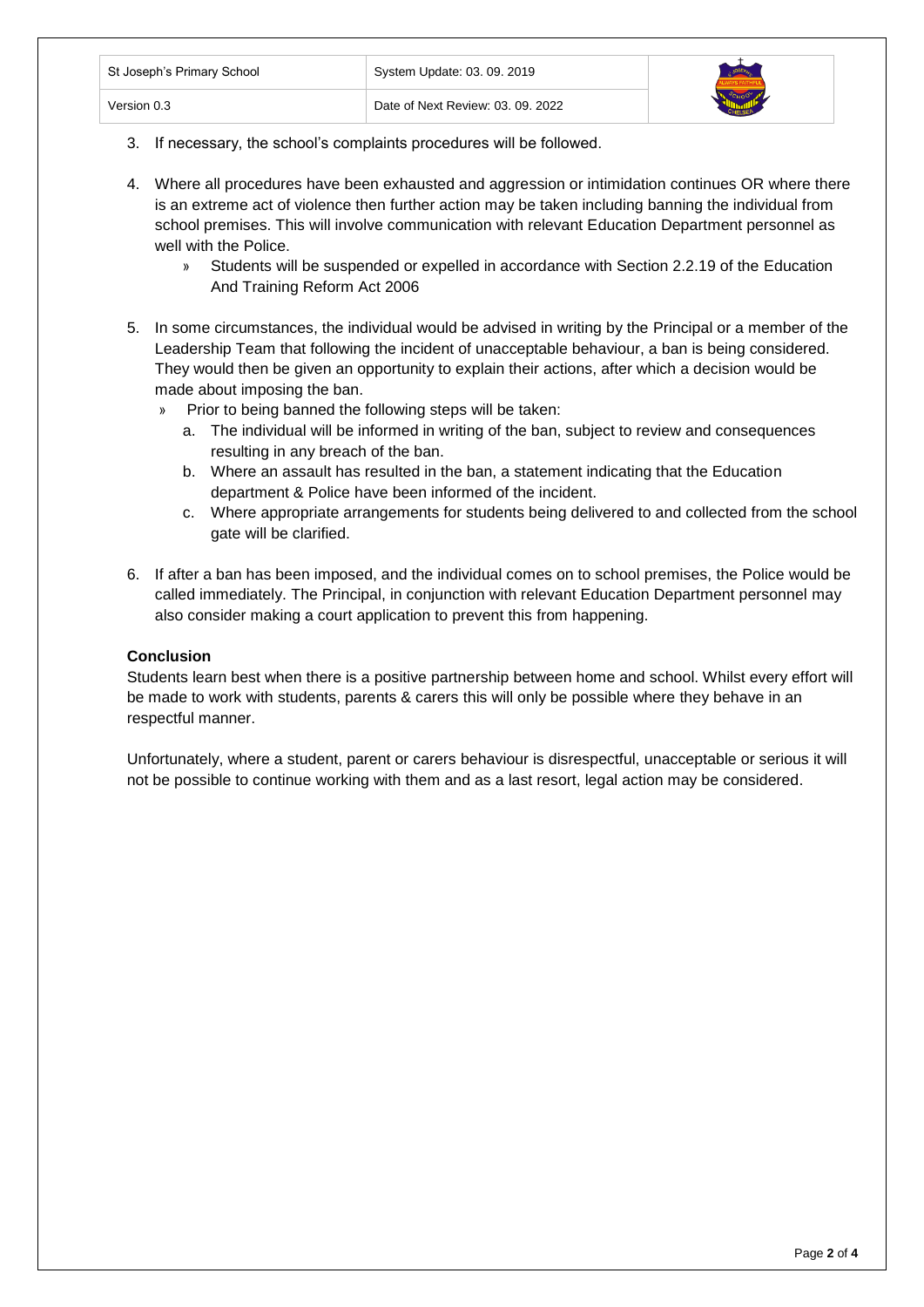| St Joseph's Primary School | System Update: 03. 09. 2019       |  |
|----------------------------|-----------------------------------|--|
| Version 0.3                | Date of Next Review: 03, 09, 2022 |  |

- 3. If necessary, the school's complaints procedures will be followed.
- 4. Where all procedures have been exhausted and aggression or intimidation continues OR where there is an extreme act of violence then further action may be taken including banning the individual from school premises. This will involve communication with relevant Education Department personnel as well with the Police.
	- » Students will be suspended or expelled in accordance with Section 2.2.19 of the Education And Training Reform Act 2006
- 5. In some circumstances, the individual would be advised in writing by the Principal or a member of the Leadership Team that following the incident of unacceptable behaviour, a ban is being considered. They would then be given an opportunity to explain their actions, after which a decision would be made about imposing the ban.
	- » Prior to being banned the following steps will be taken:
		- a. The individual will be informed in writing of the ban, subject to review and consequences resulting in any breach of the ban.
		- b. Where an assault has resulted in the ban, a statement indicating that the Education department & Police have been informed of the incident.
		- c. Where appropriate arrangements for students being delivered to and collected from the school gate will be clarified.
- 6. If after a ban has been imposed, and the individual comes on to school premises, the Police would be called immediately. The Principal, in conjunction with relevant Education Department personnel may also consider making a court application to prevent this from happening.

## **Conclusion**

Students learn best when there is a positive partnership between home and school. Whilst every effort will be made to work with students, parents & carers this will only be possible where they behave in an respectful manner.

Unfortunately, where a student, parent or carers behaviour is disrespectful, unacceptable or serious it will not be possible to continue working with them and as a last resort, legal action may be considered.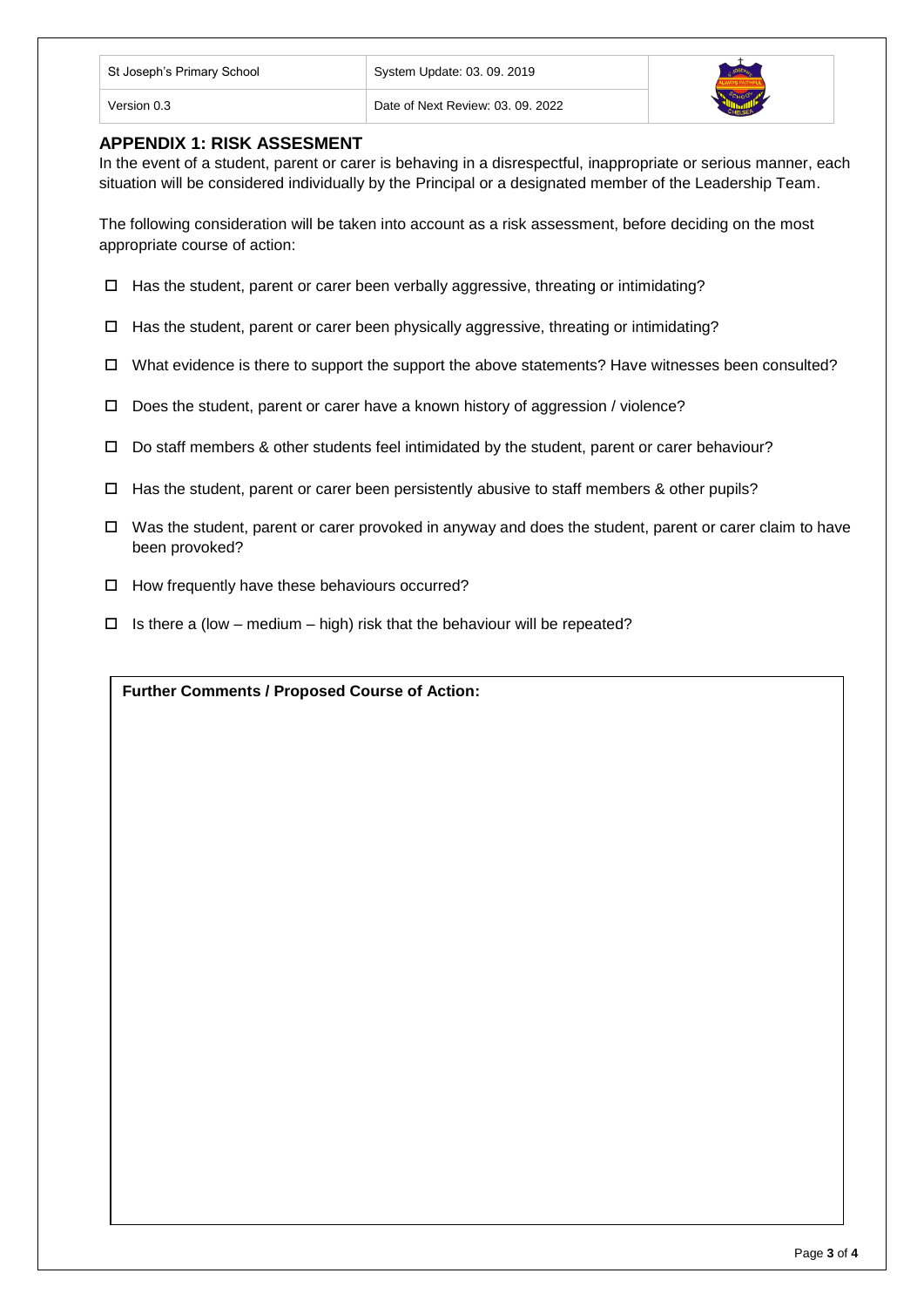| St Joseph's Primary School | System Update: 03. 09. 2019       |  |
|----------------------------|-----------------------------------|--|
| Version 0.3                | Date of Next Review: 03, 09, 2022 |  |

# **APPENDIX 1: RISK ASSESMENT**

In the event of a student, parent or carer is behaving in a disrespectful, inappropriate or serious manner, each situation will be considered individually by the Principal or a designated member of the Leadership Team.

The following consideration will be taken into account as a risk assessment, before deciding on the most appropriate course of action:

- $\Box$  Has the student, parent or carer been verbally aggressive, threating or intimidating?
- $\Box$  Has the student, parent or carer been physically aggressive, threating or intimidating?
- $\Box$  What evidence is there to support the support the above statements? Have witnesses been consulted?
- $\Box$  Does the student, parent or carer have a known history of aggression / violence?
- $\Box$  Do staff members & other students feel intimidated by the student, parent or carer behaviour?
- $\Box$  Has the student, parent or carer been persistently abusive to staff members & other pupils?
- $\Box$  Was the student, parent or carer provoked in anyway and does the student, parent or carer claim to have been provoked?
- $\Box$  How frequently have these behaviours occurred?
- $\Box$  Is there a (low medium high) risk that the behaviour will be repeated?

**Further Comments / Proposed Course of Action:**